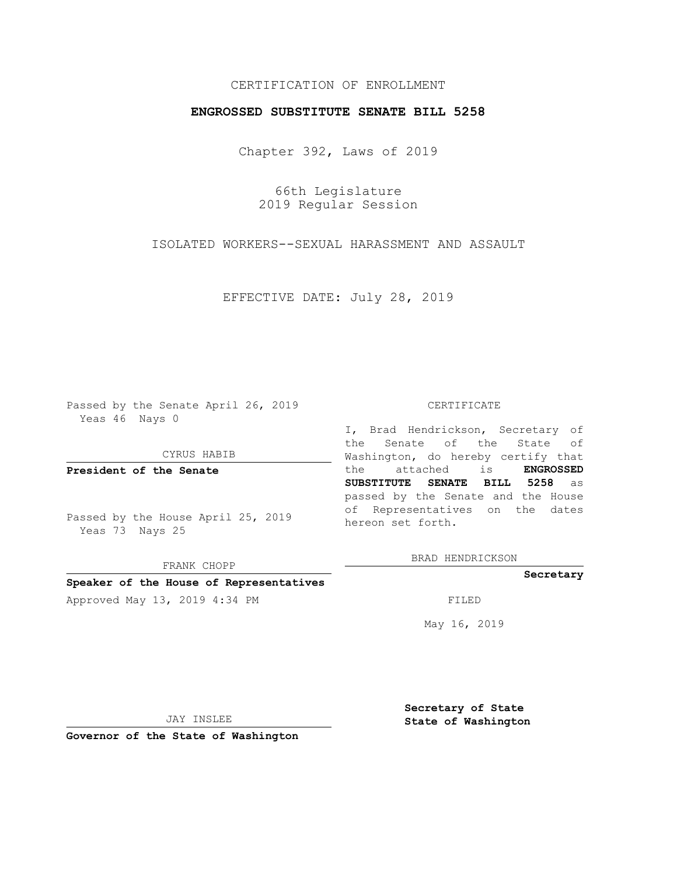# CERTIFICATION OF ENROLLMENT

## **ENGROSSED SUBSTITUTE SENATE BILL 5258**

Chapter 392, Laws of 2019

66th Legislature 2019 Regular Session

ISOLATED WORKERS--SEXUAL HARASSMENT AND ASSAULT

EFFECTIVE DATE: July 28, 2019

Passed by the Senate April 26, 2019 Yeas 46 Nays 0

CYRUS HABIB

**President of the Senate**

Passed by the House April 25, 2019 Yeas 73 Nays 25

FRANK CHOPP

### **Speaker of the House of Representatives**

Approved May 13, 2019 4:34 PM FILED

#### CERTIFICATE

I, Brad Hendrickson, Secretary of the Senate of the State of Washington, do hereby certify that the attached is **ENGROSSED SUBSTITUTE SENATE BILL 5258** as passed by the Senate and the House of Representatives on the dates hereon set forth.

BRAD HENDRICKSON

### **Secretary**

May 16, 2019

JAY INSLEE

**Governor of the State of Washington**

**Secretary of State State of Washington**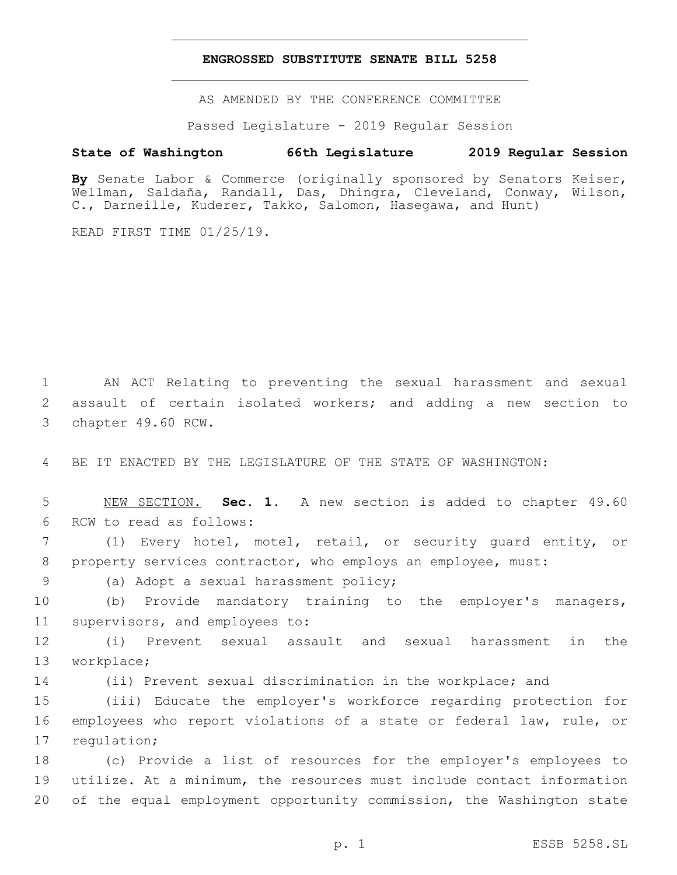### **ENGROSSED SUBSTITUTE SENATE BILL 5258**

AS AMENDED BY THE CONFERENCE COMMITTEE

Passed Legislature - 2019 Regular Session

## **State of Washington 66th Legislature 2019 Regular Session**

**By** Senate Labor & Commerce (originally sponsored by Senators Keiser, Wellman, Saldaña, Randall, Das, Dhingra, Cleveland, Conway, Wilson, C., Darneille, Kuderer, Takko, Salomon, Hasegawa, and Hunt)

READ FIRST TIME 01/25/19.

1 AN ACT Relating to preventing the sexual harassment and sexual 2 assault of certain isolated workers; and adding a new section to 3 chapter 49.60 RCW.

4 BE IT ENACTED BY THE LEGISLATURE OF THE STATE OF WASHINGTON:

5 NEW SECTION. **Sec. 1.** A new section is added to chapter 49.60 6 RCW to read as follows:

7 (1) Every hotel, motel, retail, or security guard entity, or 8 property services contractor, who employs an employee, must:

9 (a) Adopt a sexual harassment policy;

10 (b) Provide mandatory training to the employer's managers, 11 supervisors, and employees to:

12 (i) Prevent sexual assault and sexual harassment in the 13 workplace;

14 (ii) Prevent sexual discrimination in the workplace; and

15 (iii) Educate the employer's workforce regarding protection for 16 employees who report violations of a state or federal law, rule, or 17 regulation;

18 (c) Provide a list of resources for the employer's employees to 19 utilize. At a minimum, the resources must include contact information 20 of the equal employment opportunity commission, the Washington state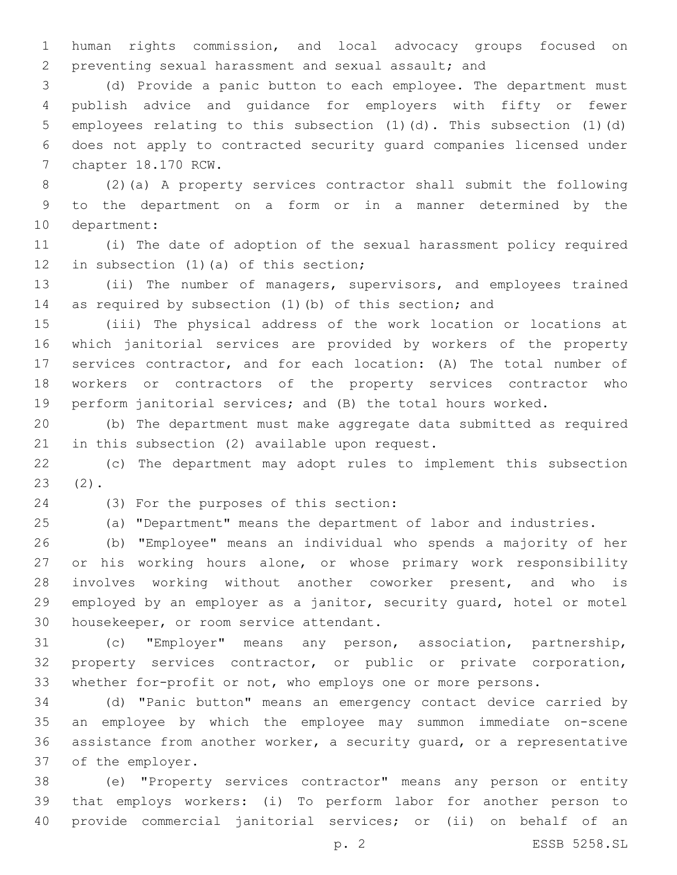human rights commission, and local advocacy groups focused on preventing sexual harassment and sexual assault; and

 (d) Provide a panic button to each employee. The department must publish advice and guidance for employers with fifty or fewer employees relating to this subsection (1)(d). This subsection (1)(d) does not apply to contracted security guard companies licensed under 7 chapter 18.170 RCW.

 (2)(a) A property services contractor shall submit the following to the department on a form or in a manner determined by the 10 department:

 (i) The date of adoption of the sexual harassment policy required 12 in subsection (1)(a) of this section;

 (ii) The number of managers, supervisors, and employees trained as required by subsection (1)(b) of this section; and

 (iii) The physical address of the work location or locations at which janitorial services are provided by workers of the property services contractor, and for each location: (A) The total number of workers or contractors of the property services contractor who perform janitorial services; and (B) the total hours worked.

 (b) The department must make aggregate data submitted as required 21 in this subsection  $(2)$  available upon request.

 (c) The department may adopt rules to implement this subsection  $(2)$ .

(3) For the purposes of this section:24

(a) "Department" means the department of labor and industries.

 (b) "Employee" means an individual who spends a majority of her or his working hours alone, or whose primary work responsibility involves working without another coworker present, and who is employed by an employer as a janitor, security guard, hotel or motel 30 housekeeper, or room service attendant.

 (c) "Employer" means any person, association, partnership, property services contractor, or public or private corporation, whether for-profit or not, who employs one or more persons.

 (d) "Panic button" means an emergency contact device carried by an employee by which the employee may summon immediate on-scene assistance from another worker, a security guard, or a representative 37 of the employer.

 (e) "Property services contractor" means any person or entity that employs workers: (i) To perform labor for another person to provide commercial janitorial services; or (ii) on behalf of an

p. 2 ESSB 5258.SL